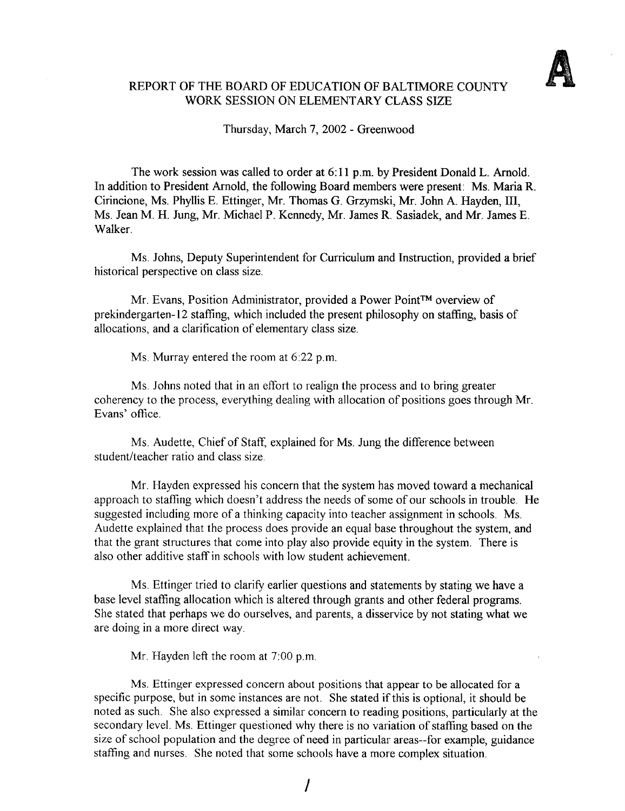

# REPORT OF THE BOARD OF EDUCATION OF BALTIMORE COUNTY WORK SESSION ON ELEMENTARY CLASS SIZE

Thursday, March 7, 2002 - Greenwood

The work session was called to order at 6 :11 p.m. by President Donald L. Arnold. In addition to President Arnold, the following Board members were present: Ms. Maria R. Cirincione, Ms. Phyllis E. Ettinger, Mr. Thomas G. Grzymski, Mr. John A. Hayden, 111, Ms. Jean M. H. Jung, Mr. Michael P. Kennedy, Mr. James R. Sasiadek, and Mr. James E. Walker.

Ms. Johns, Deputy Superintendent for Curriculum and Instruction, provided a brief historical perspective on class size.

Mr. Evans, Position Administrator, provided a Power Point™ overview of prekindergarten-12 staffing, which included the present philosophy on staffing, basis of allocations, and a clarification of elementary class size .

Ms. Murray entered the room at 6:22 p.m.

Ms . Johns noted that in an effort to realign the process and to bring greater coherency to the process, everything dealing with allocation of positions goes through Mr. Evans' office.

Ms . Audette, Chief of Staff, explained for Ms. Jung the difference between student/teacher ratio and class size .

Mr. Hayden expressed his concern that the system has moved toward a mechanical approach to staffing which doesn't address the needs of some of our schools in trouble. He suggested including more of a thinking capacity into teacher assignment in schools. Ms. Audette explained that the process does provide an equal base throughout the system, and that the grant structures that come into play also provide equity in the system. There is also other additive staff in schools with low student achievement.

Ms . Ettinger tried to clarify earlier questions and statements by stating we have a base level staffing allocation which is altered through grants and other federal programs. She stated that perhaps we do ourselves, and parents, a disservice by not stating what we are doing in a more direct way.

Mr. Hayden left the room at 7:00 p.m.

Ms. Ettinger expressed concern about positions that appear to be allocated for <sup>a</sup> specific purpose, but in some instances are not. She stated if this is optional, it should be noted as such. She also expressed a similar concern to reading positions, particularly at the secondary level. Ms. Ettinger questioned why there is no variation of staffing based on the size of school population and the degree of need in particular areas--for example, guidance staffing and nurses. She noted that some schools have a more complex situation.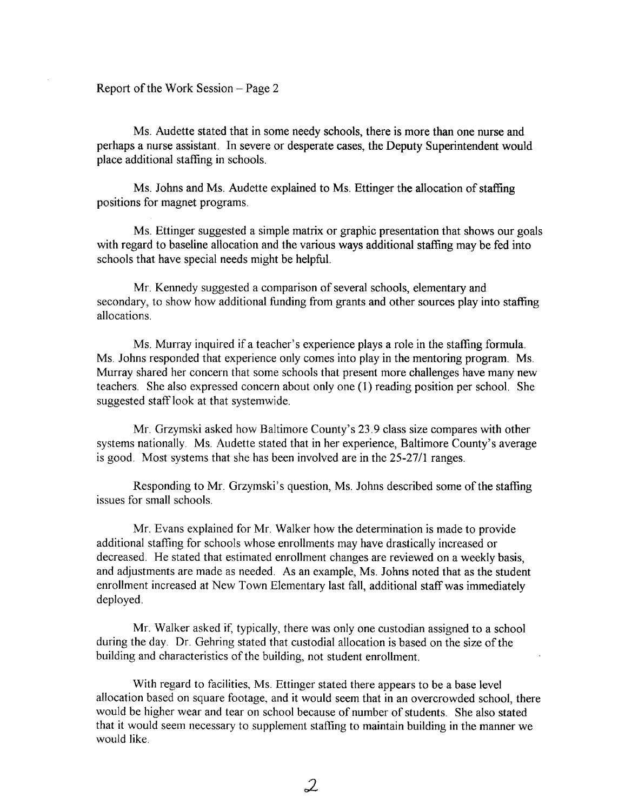Ms. Audette stated that in some needy schools, there is more than one nurse and perhaps a nurse assistant. In severe or desperate cases, the Deputy Superintendent would place additional staffing in schools.

Ms. Johns and Ms. Audette explained to Ms. Ettinger the allocation of staffing positions for magnet programs.

Ms. Ettinger suggested a simple matrix or graphic presentation that shows our goals with regard to baseline allocation and the various ways additional staffing may be fed into schools that have special needs might be helpful.

Mr . Kennedy suggested a comparison of several schools, elementary and secondary, to show how additional funding from grants and other sources play into staffing allocations.

Ms. Murray inquired if <sup>a</sup> teacher's experience plays a role in the staffing formula. Ms . Johns responded that experience only comes into play in the mentoring program. Ms. Murray shared her concern that some schools that present more challenges have many new teachers. She also expressed concern about only one (1) reading position per school. She suggested staff look at that systemwide.

Mr. Grzymski asked how Baltimore County's 23 .9 class size compares with other systems nationally. Ms. Audette stated that in her experience, Baltimore County's average is good. Most systems that she has been involved are in the 25-27/1 ranges.

Responding to Mr. Grzymski's question, Ms. Johns described some of the staffing issues for small schools.

Mr. Evans explained for Mr. Walker how the determination is made to provide additional staffing for schools whose enrollments may have drastically increased or decreased. He stated that estimated enrollment changes are reviewed on a weekly basis, and adjustments are made as needed. As an example, Ms. Johns noted that as the student enrollment increased at New Town Elementary last fall, additional staff was immediately deployed .

Mr. Walker asked if, typically, there was only one custodian assigned to a school during the day. Dr . Gehring stated that custodial allocation is based on the size of the building and characteristics of the building, not student enrollment.

With regard to facilities, Ms . Ettinger stated there appears to be a base level allocation based on square footage, and it would seem that in an overcrowded school, there would be higher wear and tear on school because of number of students. She also stated that it would seem necessary to supplement staffing to maintain building in the manner we would like.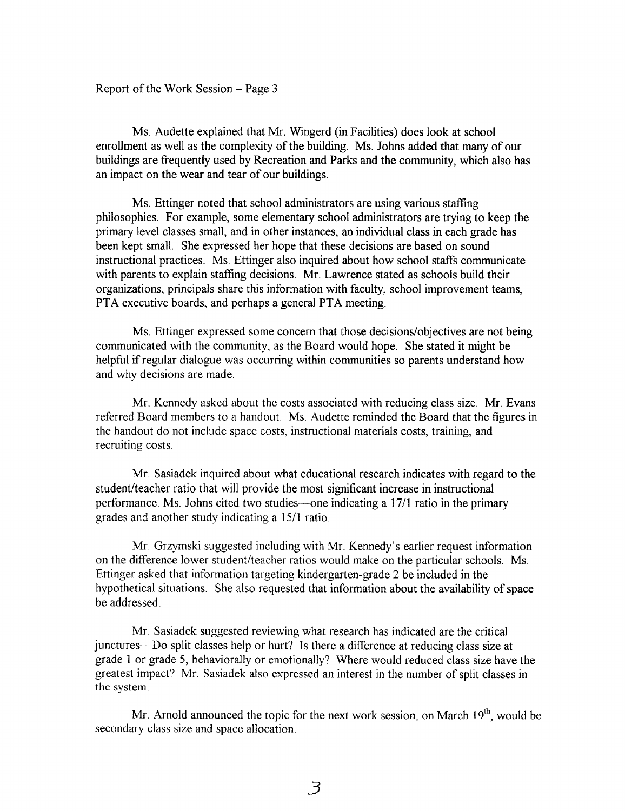#### Report of the Work Session  $-$  Page 3

Ms. Audette explained that Mr. Wingerd (in Facilities) does look at school enrollment as well as the complexity of the building. Ms . Johns added that many of our buildings are frequently used by Recreation and Parks and the community, which also has an impact on the wear and tear of our buildings.

Ms. Ettinger noted that school administrators are using various staffing philosophies . For example, some elementary school administrators are trying to keep the primary level classes small, and in other instances, an individual class in each grade has been kept small. She expressed her hope that these decisions are based on sound instructional practices. Ms. Ettinger also inquired about how school staffs communicate with parents to explain staffing decisions. Mr. Lawrence stated as schools build their organizations, principals share this information with faculty, school improvement teams, PTA executive boards, and perhaps <sup>a</sup> general PTA meeting.

Ms. Ettinger expressed some concern that those decisions/objectives are not being communicated with the community, as the Board would hope. She stated it might be helpful if regular dialogue was occurring within communities so parents understand how and why decisions are made.

Mr. Kennedy asked about the costs associated with reducing class size . Mr. Evans referred Board members to <sup>a</sup> handout. Ms. Audette reminded the Board that the figures in the handout do not include space costs, instructional materials costs, training, and recruiting costs.

Mr. Sasiadek inquired about what educational research indicates with regard to the student/teacher ratio that will provide the most significant increase in instructional performance . Ms. Johns cited two studies-one indicating a 17/1 ratio in the primary grades and another study indicating a 15/1 ratio.

Mr. Grzymski suggested including with Mr. Kennedy's earlier request information on the difference lower student/teacher ratios would make on the particular schools. Ms. Ettinger asked that information targeting kindergarten-grade 2 be included in the hypothetical situations. She also requested that information about the availability of space be addressed.

Mr. Sasiadek suggested reviewing what research has indicated are the critical junctures-Do split classes help or hurt? Is there a difference at reducing class size at grade <sup>1</sup> or grade 5, behaviorally or emotionally? Where would reduced class size have the greatest impact? Mr. Sasiadek also expressed an interest in the number of split classes in the system .

Mr. Arnold announced the topic for the next work session, on March  $19<sup>th</sup>$ , would be secondary class size and space allocation.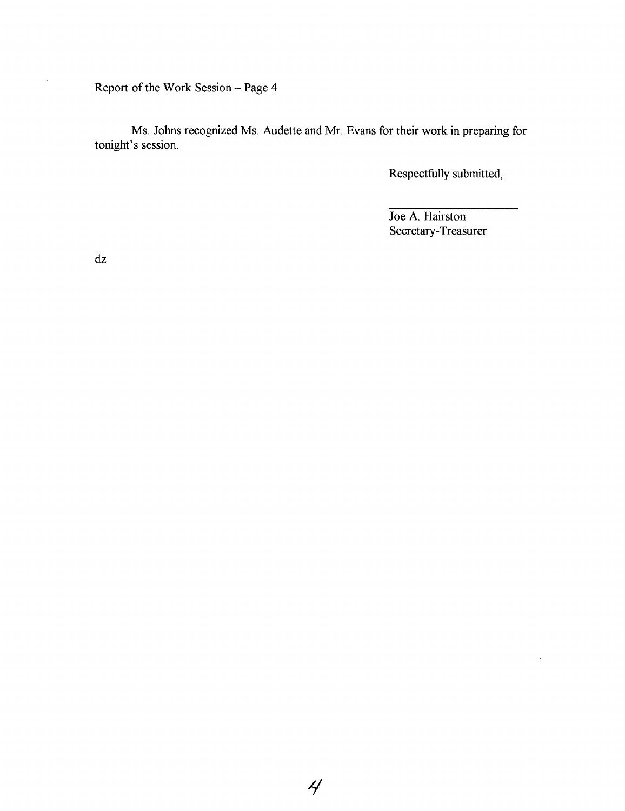Report of the Work Session - Page 4

Ms. Johns recognized Ms. Audette and Mr. Evans for their work in preparing for tonight's session.

Respectfully submitted,

Joe A. Hairston Secretary-Treasurer

l,

dz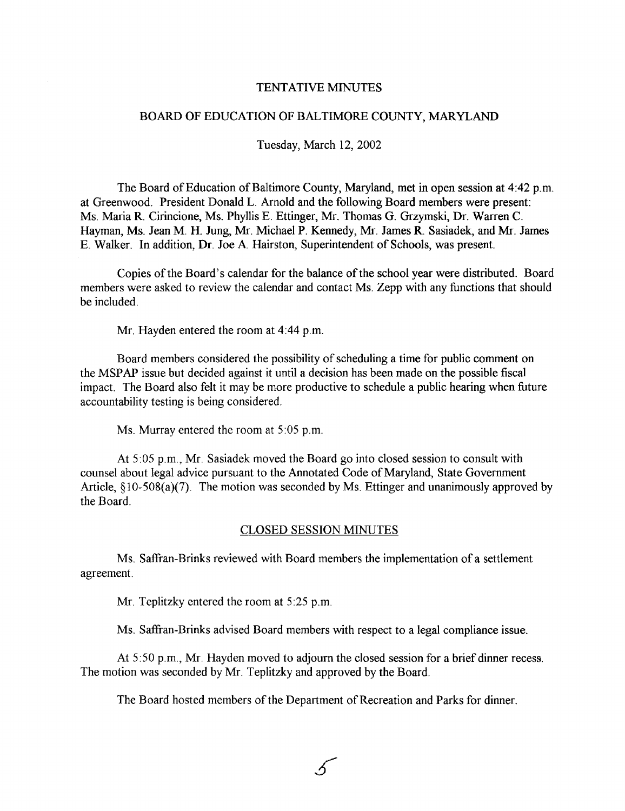#### TENTATIVE MINUTES

#### BOARD OF EDUCATION OF BALTIMORE COUNTY, MARYLAND

#### Tuesday, March 12, 2002

The Board of Education of Baltimore County, Maryland, met in open session at 4:42 p.m. at Greenwood. President Donald L. Arnold and the following Board members were present : Ms. Maria R. Cirincione, Ms. Phyllis E. Ettinger, Mr. Thomas G. Grzymski, Dr. Warren C . Hayman, Ms. Jean M. H. Jung, Mr. Michael P. Kennedy, Mr. James R. Sasiadek, and Mr. James E. Walker. In addition, Dr. Joe A. Hairston, Superintendent of Schools, was present .

Copies of the Board's calendar for the balance of the school year were distributed. Board members were asked to review the calendar and contact Ms . Zepp with any functions that should be included.

Mr. Hayden entered the room at 4:44 p.m.

Board members considered the possibility of scheduling a time for public comment on the MSPAP issue but decided against it until <sup>a</sup> decision has been made on the possible fiscal impact. The Board also felt it may be more productive to schedule a public hearing when future accountability testing is being considered.

Ms. Murray entered the room at 5:05 p.m.

At 5 :05 p.m., Mr. Sasiadek moved the Board go into closed session to consult with counsel about legal advice pursuant to the Annotated Code of Maryland, State Government Article,  $\S$ 10-508(a)(7). The motion was seconded by Ms. Ettinger and unanimously approved by the Board.

#### CLOSED SESSION MINUTES

Ms. Saffran-Brinks reviewed with Board members the implementation of <sup>a</sup> settlement agreement.

Mr. Teplitzky entered the room at 5:25 p.m.

Ms. Saffran-Brinks advised Board members with respect to <sup>a</sup> legal compliance issue .

At 5:50 p.m., Mr. Hayden moved to adjourn the closed session for a brief dinner recess. The motion was seconded by Mr. Teplitzky and approved by the Board.

The Board hosted members of the Department of Recreation and Parks for dinner.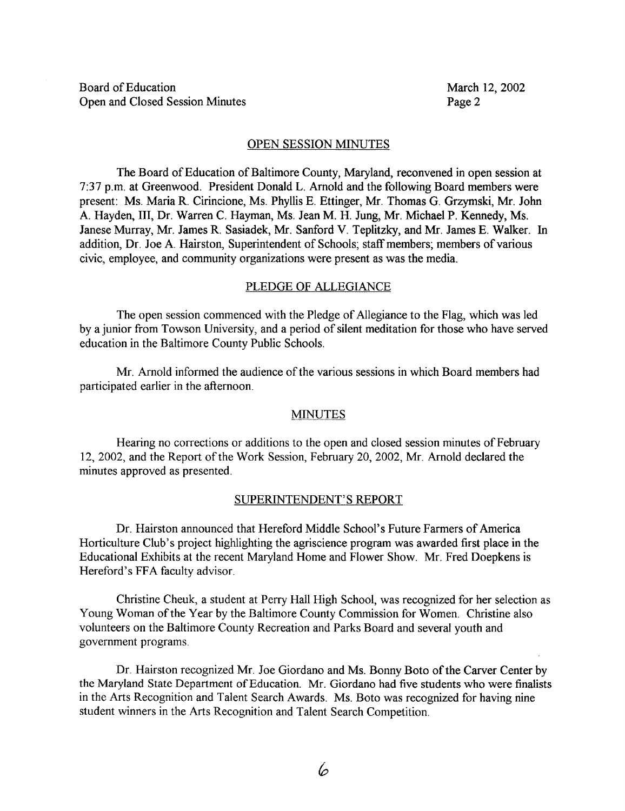### OPEN SESSION MINUTES

The Board of Education of Baltimore County, Maryland, reconvened in open session at 7:37 p.m. at Greenwood. President Donald L. Arnold and the following Board members were present: Ms. Maria R. Cirincione, Ms. Phyllis E. Ettinger, Mr. Thomas G. Grzymski, Mr. John A. Hayden, III, Dr. Warren C. Hayman, Ms. Jean M. H. Jung, Mr. Michael P. Kennedy, Ms. Janese Murray, Mr. James R. Sasiadek, Mr. Sanford V. Teplitzky, and Mr. James E. Walker. In addition, Dr. Joe A. Hairston, Superintendent of Schools; staff members; members of various civic, employee, and community organizations were present as was the media.

### PLEDGE OF ALLEGIANCE

The open session commenced with the Pledge of Allegiance to the Flag, which was led by a junior from Towson University, and a period of silent meditation for those who have served education in the Baltimore County Public Schools .

Mr. Arnold informed the audience of the various sessions in which Board members had participated earlier in the afternoon.

## MINUTES

Hearing no corrections or additions to the open and closed session minutes of February 12, 2002, and the Report of the Work Session, February 20, 2002, Mr. Arnold declared the minutes approved as presented.

### SUPERINTENDENT'S REPORT

Dr. Hairston announced that Hereford Middle School's Future Farmers of America Horticulture Club's project highlighting the agriscience program was awarded first place in the Educational Exhibits at the recent Maryland Home and Flower Show. Mr. Fred Doepkens is Hereford's FFA faculty advisor.

Christine Cheuk, a student at Perry Hall High School, was recognized for her selection as Young Woman of the Year by the Baltimore County Commission for Women. Christine also volunteers on the Baltimore County Recreation and Parks Board and several youth and government programs.

Dr. Hairston recognized Mr. Joe Giordano and Ms. Bonny Boto of the Carver Center by the Maryland State Department of Education. Mr. Giordano had five students who were finalists in the Arts Recognition and Talent Search Awards. Ms. Boto was recognized for having nine student winners in the Arts Recognition and Talent Search Competition.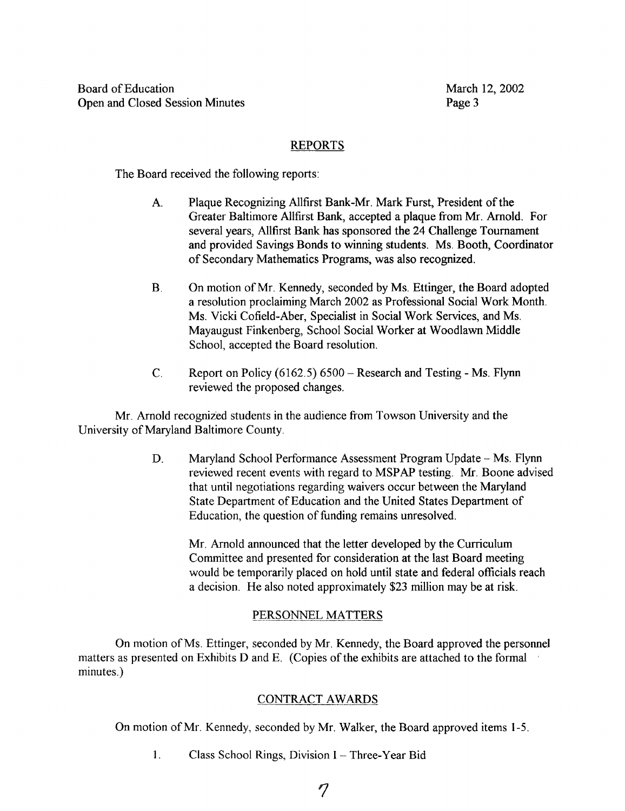# REPORTS

The Board received the following reports :

- A. Plaque Recognizing Allfirst Bank-Mr. Mark Furst, President of the Greater Baltimore Allfirst Bank, accepted a plaque from Mr. Arnold. For several years, Allfirst Bank has sponsored the 24 Challenge Tournament and provided Savings Bonds to winning students. Ms. Booth, Coordinator of Secondary Mathematics Programs, was also recognized .
- $B<sub>1</sub>$ On motion of Mr. Kennedy, seconded by Ms. Ettinger, the Board adopted a resolution proclaiming March 2002 as Professional Social Work Month. Ms. Vicki Cofield-Aber, Specialist in Social Work Services, and Ms. Mayaugust Finkenberg, School Social Worker at Woodlawn Middle School, accepted the Board resolution.
- C. Report on Policy  $(6162.5) 6500$  Research and Testing Ms. Flynn reviewed the proposed changes.

Mr. Arnold recognized students in the audience from Towson University and the University of Maryland Baltimore County.

> D. Maryland School Performance Assessment Program Update - Ms. Flynn reviewed recent events with regard to MSPAP testing. Mr. Boone advised that until negotiations regarding waivers occur between the Maryland State Department of Education and the United States Department of Education, the question of funding remains unresolved .

Mr. Arnold announced that the letter developed by the Curriculum Committee and presented for consideration at the last Board meeting would be temporarily placed on hold until state and federal officials reach a decision. He also noted approximately \$23 million may be at risk.

# PERSONNEL MATTERS

On motion ofMs . Ettinger, seconded by Mr. Kennedy, the Board approved the personnel matters as presented on Exhibits D and E. (Copies of the exhibits are attached to the formal minutes.)

# CONTRACT AWARDS

On motion of Mr. Kennedy, seconded by Mr. Walker, the Board approved items 1-5 .

1. Class School Rings, Division I - Three-Year Bid